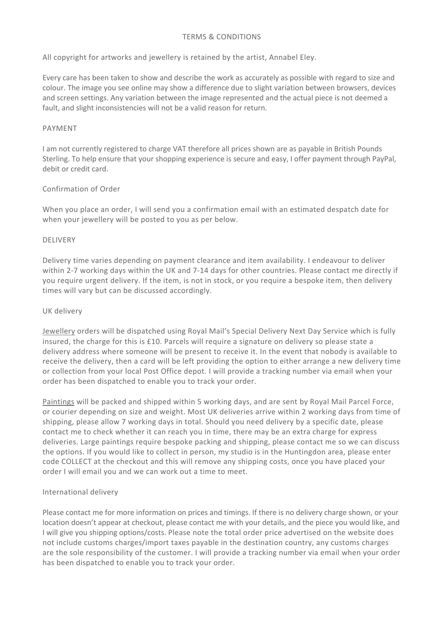# TERMS & CONDITIONS

All copyright for artworks and jewellery is retained by the artist, Annabel Eley.

Every care has been taken to show and describe the work as accurately as possible with regard to size and colour. The image you see online may show a difference due to slight variation between browsers, devices and screen settings. Any variation between the image represented and the actual piece is not deemed a fault, and slight inconsistencies will not be a valid reason for return.

### PAYMENT

I am not currently registered to charge VAT therefore all prices shown are as payable in British Pounds Sterling. To help ensure that your shopping experience is secure and easy, I offer payment through PayPal, debit or credit card.

# Confirmation of Order

When you place an order, I will send you a confirmation email with an estimated despatch date for when your jewellery will be posted to you as per below.

# DELIVERY

Delivery time varies depending on payment clearance and item availability. I endeavour to deliver within 2-7 working days within the UK and 7-14 days for other countries. Please contact me directly if you require urgent delivery. If the item, is not in stock, or you require a bespoke item, then delivery times will vary but can be discussed accordingly.

### UK delivery

Jewellery orders will be dispatched using Royal Mail's Special Delivery Next Day Service which is fully insured, the charge for this is £10. Parcels will require a signature on delivery so please state a delivery address where someone will be present to receive it. In the event that nobody is available to receive the delivery, then a card will be left providing the option to either arrange a new delivery time or collection from your local Post Office depot. I will provide a tracking number via email when your order has been dispatched to enable you to track your order.

Paintings will be packed and shipped within 5 working days, and are sent by Royal Mail Parcel Force, or courier depending on size and weight. Most UK deliveries arrive within 2 working days from time of shipping, please allow 7 working days in total. Should you need delivery by a specific date, please contact me to check whether it can reach you in time, there may be an extra charge for express deliveries. Large paintings require bespoke packing and shipping, please contact me so we can discuss the options. If you would like to collect in person, my studio is in the Huntingdon area, please enter code COLLECT at the checkout and this will remove any shipping costs, once you have placed your order I will email you and we can work out a time to meet.

# International delivery

Please contact me for more information on prices and timings. If there is no delivery charge shown, or your location doesn't appear at checkout, please contact me with your details, and the piece you would like, and I will give you shipping options/costs. Please note the total order price advertised on the website does not include customs charges/import taxes payable in the destination country, any customs charges are the sole responsibility of the customer. I will provide a tracking number via email when your order has been dispatched to enable you to track your order.